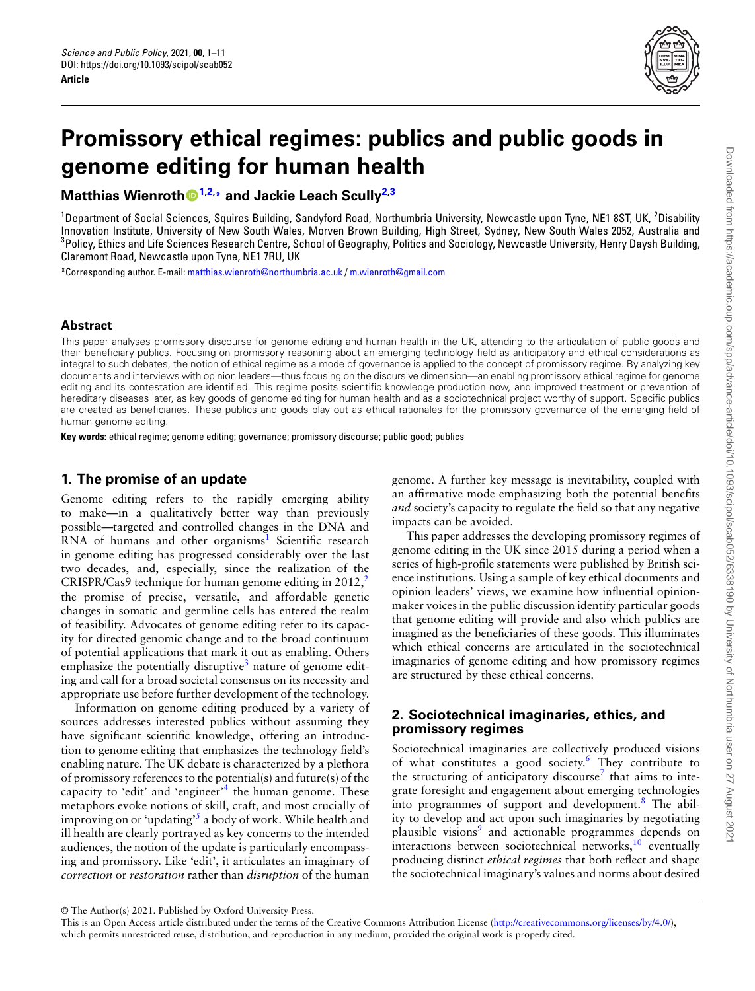<span id="page-0-1"></span>

# **Promissory ethical regimes: publics and public goods in genome editing for human health**

**Matthias Wienroth[1](#page-0-0)[,2,](#page-0-1)\* and Jackie Leach Scully[2,](#page-0-1)[3](#page-0-2)**

<span id="page-0-0"></span> $1$ Department of Social Sciences, Squires Building, Sandyford Road, Northumbria University, Newcastle upon Tyne, NE1 8ST, UK,  $2$ Disability Innovation Institute, University of New South Wales, Morven Brown Building, High Street, Sydney, New South Wales 2052, Australia and  $^3$ Policy, Ethics and Life Sciences Research Centre, School of Geography, Politics and Sociology, Newcastle University, Henry Daysh Building, Claremont Road, Newcastle upon Tyne, NE1 7RU, UK

<span id="page-0-2"></span>\*Corresponding author. E-mail: [matthias.wienroth@northumbria.ac.uk](mailto:matthias.wienroth@northumbria.ac.uk) / [m.wienroth@gmail.com](mailto:m.wienroth@gmail.com)

#### **Abstract**

This paper analyses promissory discourse for genome editing and human health in the UK, attending to the articulation of public goods and their beneficiary publics. Focusing on promissory reasoning about an emerging technology field as anticipatory and ethical considerations as integral to such debates, the notion of ethical regime as a mode of governance is applied to the concept of promissory regime. By analyzing key documents and interviews with opinion leaders—thus focusing on the discursive dimension—an enabling promissory ethical regime for genome editing and its contestation are identified. This regime posits scientific knowledge production now, and improved treatment or prevention of hereditary diseases later, as key goods of genome editing for human health and as a sociotechnical project worthy of support. Specific publics are created as beneficiaries. These publics and goods play out as ethical rationales for the promissory governance of the emerging field of human genome editing.

**Key words:** ethical regime; genome editing; governance; promissory discourse; public good; publics

## **1. The promise of an update**

Genome editing refers to the rapidly emerging ability to make—in a qualitatively better way than previously possible—targeted and controlled changes in the DNA and RNA of humans and other organisms<sup>1</sup> Scientific research in genome editing has progressed considerably over the last two decades, and, especially, since the realization of the CRISPR/Cas9 technique for human genome editing in  $2012$ ,<sup>2</sup> the promise of precise, versatile, and affordable genetic changes in somatic and germline cells has entered the realm of feasibility. Advocates of genome editing refer to its capacity for directed genomic change and to the broad continuum of potential applications that mark it out as enabling. Others emphasize the potentially disruptive<sup>3</sup> nature of genome editing and call for a broad societal consensus on its necessity and appropriate use before further development of the technology.

Information on genome editing produced by a variety of sources addresses interested publics without assuming they have significant scientific knowledge, offering an introduction to genome editing that emphasizes the technology field's enabling nature. The UK debate is characterized by a plethora of promissory references to the potential(s) and future(s) of the capacity to 'edit' and 'engineer'<sup>4</sup> the human genome. These metaphors evoke notions of skill, craft, and most crucially of improving on or 'updating'<sup>5</sup> a body of work. While health and ill health are clearly portrayed as key concerns to the intended audiences, the notion of the update is particularly encompassing and promissory. Like 'edit', it articulates an imaginary of *correction* or *restoration* rather than *disruption* of the human

genome. A further key message is inevitability, coupled with an affirmative mode emphasizing both the potential benefits *and* society's capacity to regulate the field so that any negative impacts can be avoided.

This paper addresses the developing promissory regimes of genome editing in the UK since 2015 during a period when a series of high-profile statements were published by British science institutions. Using a sample of key ethical documents and opinion leaders' views, we examine how influential opinionmaker voices in the public discussion identify particular goods that genome editing will provide and also which publics are imagined as the beneficiaries of these goods. This illuminates which ethical concerns are articulated in the sociotechnical imaginaries of genome editing and how promissory regimes are structured by these ethical concerns.

# **2. Sociotechnical imaginaries, ethics, and promissory regimes**

Sociotechnical imaginaries are collectively produced visions of what constitutes a good society.<sup>6</sup> They contribute to the structuring of anticipatory discourse<sup>7</sup> that aims to integrate foresight and engagement about emerging technologies into programmes of support and development.<sup>8</sup> The ability to develop and act upon such imaginaries by negotiating plausible visions<sup>9</sup> and actionable programmes depends on  $interactions$  between sociotechnical networks, $10$  eventually producing distinct *ethical regimes* that both reflect and shape the sociotechnical imaginary's values and norms about desired

<sup>©</sup> The Author(s) 2021. Published by Oxford University Press.

This is an Open Access article distributed under the terms of the Creative Commons Attribution License [\(http://creativecommons.org/licenses/by/4.0/](http://creativecommons.org/licenses/by/4.0/)), which permits unrestricted reuse, distribution, and reproduction in any medium, provided the original work is properly cited.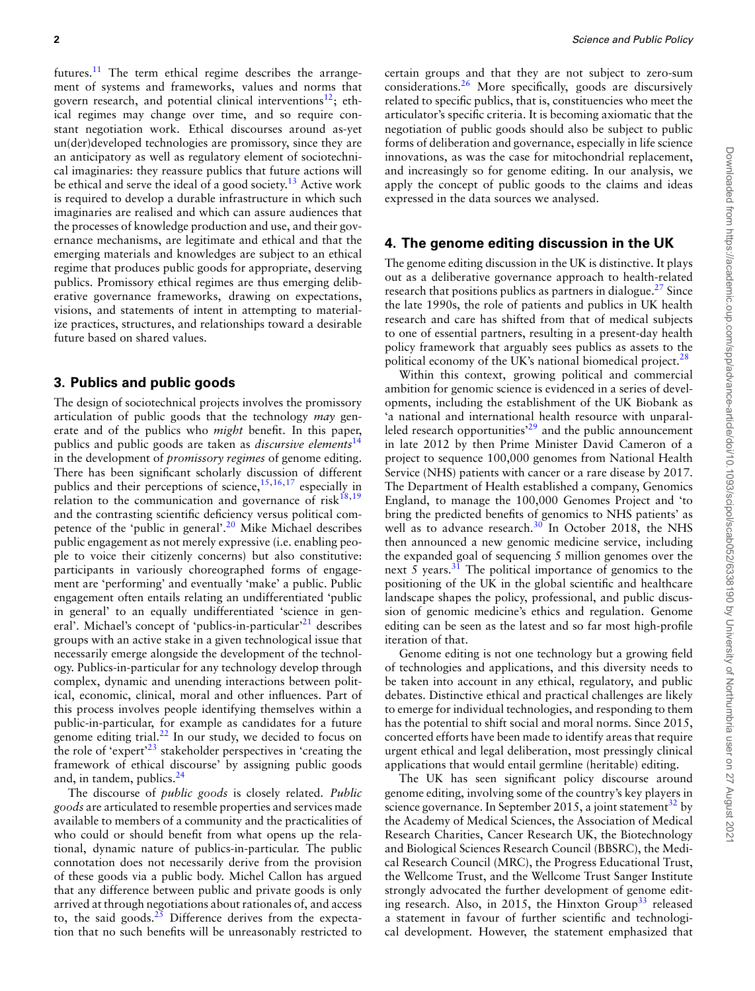futures.<sup>11</sup> The term ethical regime describes the arrangement of systems and frameworks, values and norms that govern research, and potential clinical interventions $^{12}$ ; ethical regimes may change over time, and so require constant negotiation work. Ethical discourses around as-yet un(der)developed technologies are promissory, since they are an anticipatory as well as regulatory element of sociotechnical imaginaries: they reassure publics that future actions will be ethical and serve the ideal of a good society.<sup>13</sup> Active work is required to develop a durable infrastructure in which such imaginaries are realised and which can assure audiences that the processes of knowledge production and use, and their governance mechanisms, are legitimate and ethical and that the emerging materials and knowledges are subject to an ethical regime that produces public goods for appropriate, deserving publics. Promissory ethical regimes are thus emerging deliberative governance frameworks, drawing on expectations, visions, and statements of intent in attempting to materialize practices, structures, and relationships toward a desirable future based on shared values.

#### **3. Publics and public goods**

The design of sociotechnical projects involves the promissory articulation of public goods that the technology *may* generate and of the publics who *might* benefit. In this paper, publics and public goods are taken as *discursive elements*14 in the development of *promissory regimes* of genome editing. There has been significant scholarly discussion of different publics and their perceptions of science, $15,16,17$  especially in relation to the communication and governance of risk $18,19$ and the contrasting scientific deficiency versus political competence of the 'public in general'.<sup>20</sup> Mike Michael describes public engagement as not merely expressive (i.e. enabling people to voice their citizenly concerns) but also constitutive: participants in variously choreographed forms of engagement are 'performing' and eventually 'make' a public. Public engagement often entails relating an undifferentiated 'public in general' to an equally undifferentiated 'science in general'. Michael's concept of 'publics-in-particular'<sup>21</sup> describes groups with an active stake in a given technological issue that necessarily emerge alongside the development of the technology. Publics-in-particular for any technology develop through complex, dynamic and unending interactions between political, economic, clinical, moral and other influences. Part of this process involves people identifying themselves within a public-in-particular, for example as candidates for a future genome editing trial. $^{22}$  In our study, we decided to focus on the role of 'expert'<sup>23</sup> stakeholder perspectives in 'creating the framework of ethical discourse' by assigning public goods and, in tandem, publics. $24$ 

The discourse of *public goods* is closely related. *Public goods* are articulated to resemble properties and services made available to members of a community and the practicalities of who could or should benefit from what opens up the relational, dynamic nature of publics-in-particular. The public connotation does not necessarily derive from the provision of these goods via a public body. Michel Callon has argued that any difference between public and private goods is only arrived at through negotiations about rationales of, and access to, the said goods. $25$  Difference derives from the expectation that no such benefits will be unreasonably restricted to

certain groups and that they are not subject to zero-sum considerations.26 More specifically, goods are discursively related to specific publics, that is, constituencies who meet the articulator's specific criteria. It is becoming axiomatic that the negotiation of public goods should also be subject to public forms of deliberation and governance, especially in life science innovations, as was the case for mitochondrial replacement, and increasingly so for genome editing. In our analysis, we apply the concept of public goods to the claims and ideas expressed in the data sources we analysed.

#### **4. The genome editing discussion in the UK**

The genome editing discussion in the UK is distinctive. It plays out as a deliberative governance approach to health-related research that positions publics as partners in dialogue. $27$  Since the late 1990s, the role of patients and publics in UK health research and care has shifted from that of medical subjects to one of essential partners, resulting in a present-day health policy framework that arguably sees publics as assets to the political economy of the UK's national biomedical project.<sup>28</sup>

Within this context, growing political and commercial ambition for genomic science is evidenced in a series of developments, including the establishment of the UK Biobank as 'a national and international health resource with unparalleled research opportunities<sup>29</sup> and the public announcement in late 2012 by then Prime Minister David Cameron of a project to sequence 100,000 genomes from National Health Service (NHS) patients with cancer or a rare disease by 2017. The Department of Health established a company, Genomics England, to manage the 100,000 Genomes Project and 'to bring the predicted benefits of genomics to NHS patients' as well as to advance research.<sup>30</sup> In October 2018, the NHS then announced a new genomic medicine service, including the expanded goal of sequencing 5 million genomes over the next 5 years. $31$  The political importance of genomics to the positioning of the UK in the global scientific and healthcare landscape shapes the policy, professional, and public discussion of genomic medicine's ethics and regulation. Genome editing can be seen as the latest and so far most high-profile iteration of that.

Genome editing is not one technology but a growing field of technologies and applications, and this diversity needs to be taken into account in any ethical, regulatory, and public debates. Distinctive ethical and practical challenges are likely to emerge for individual technologies, and responding to them has the potential to shift social and moral norms. Since 2015, concerted efforts have been made to identify areas that require urgent ethical and legal deliberation, most pressingly clinical applications that would entail germline (heritable) editing.

The UK has seen significant policy discourse around genome editing, involving some of the country's key players in science governance. In September 2015, a joint statement<sup>32</sup> by the Academy of Medical Sciences, the Association of Medical Research Charities, Cancer Research UK, the Biotechnology and Biological Sciences Research Council (BBSRC), the Medical Research Council (MRC), the Progress Educational Trust, the Wellcome Trust, and the Wellcome Trust Sanger Institute strongly advocated the further development of genome editing research. Also, in 2015, the Hinxton Group<sup>33</sup> released a statement in favour of further scientific and technological development. However, the statement emphasized that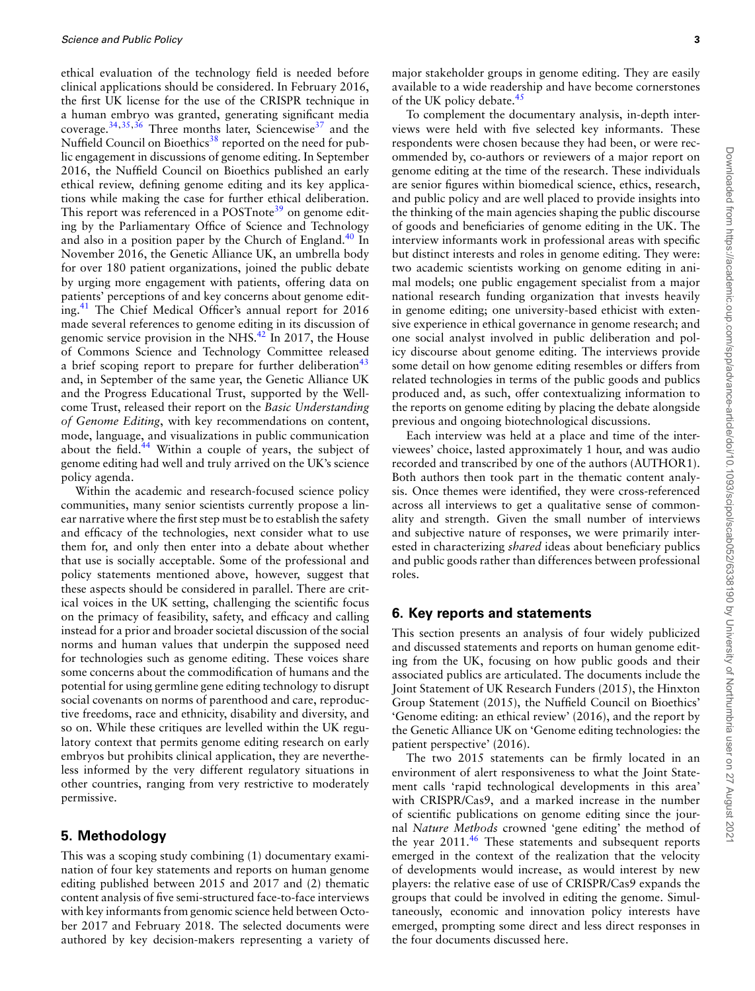ethical evaluation of the technology field is needed before clinical applications should be considered. In February 2016, the first UK license for the use of the CRISPR technique in a human embryo was granted, generating significant media coverage.<sup>34,35,36</sup> Three months later, Sciencewise<sup>37</sup> and the Nuffield Council on Bioethics<sup>38</sup> reported on the need for public engagement in discussions of genome editing. In September 2016, the Nuffield Council on Bioethics published an early ethical review, defining genome editing and its key applications while making the case for further ethical deliberation. This report was referenced in a POSTnote<sup>39</sup> on genome editing by the Parliamentary Office of Science and Technology and also in a position paper by the Church of England.<sup>40</sup> In November 2016, the Genetic Alliance UK, an umbrella body for over 180 patient organizations, joined the public debate by urging more engagement with patients, offering data on patients' perceptions of and key concerns about genome editing.41 The Chief Medical Officer's annual report for 2016 made several references to genome editing in its discussion of genomic service provision in the NHS.<sup>42</sup> In 2017, the House of Commons Science and Technology Committee released a brief scoping report to prepare for further deliberation<sup>43</sup> and, in September of the same year, the Genetic Alliance UK and the Progress Educational Trust, supported by the Wellcome Trust, released their report on the *Basic Understanding of Genome Editing*, with key recommendations on content, mode, language, and visualizations in public communication about the field.<sup>44</sup> Within a couple of years, the subject of genome editing had well and truly arrived on the UK's science policy agenda.

Within the academic and research-focused science policy communities, many senior scientists currently propose a linear narrative where the first step must be to establish the safety and efficacy of the technologies, next consider what to use them for, and only then enter into a debate about whether that use is socially acceptable. Some of the professional and policy statements mentioned above, however, suggest that these aspects should be considered in parallel. There are critical voices in the UK setting, challenging the scientific focus on the primacy of feasibility, safety, and efficacy and calling instead for a prior and broader societal discussion of the social norms and human values that underpin the supposed need for technologies such as genome editing. These voices share some concerns about the commodification of humans and the potential for using germline gene editing technology to disrupt social covenants on norms of parenthood and care, reproductive freedoms, race and ethnicity, disability and diversity, and so on. While these critiques are levelled within the UK regulatory context that permits genome editing research on early embryos but prohibits clinical application, they are nevertheless informed by the very different regulatory situations in other countries, ranging from very restrictive to moderately permissive.

## **5. Methodology**

This was a scoping study combining (1) documentary examination of four key statements and reports on human genome editing published between 2015 and 2017 and (2) thematic content analysis of five semi-structured face-to-face interviews with key informants from genomic science held between October 2017 and February 2018. The selected documents were authored by key decision-makers representing a variety of

major stakeholder groups in genome editing. They are easily available to a wide readership and have become cornerstones of the UK policy debate.<sup>45</sup>

To complement the documentary analysis, in-depth interviews were held with five selected key informants. These respondents were chosen because they had been, or were recommended by, co-authors or reviewers of a major report on genome editing at the time of the research. These individuals are senior figures within biomedical science, ethics, research, and public policy and are well placed to provide insights into the thinking of the main agencies shaping the public discourse of goods and beneficiaries of genome editing in the UK. The interview informants work in professional areas with specific but distinct interests and roles in genome editing. They were: two academic scientists working on genome editing in animal models; one public engagement specialist from a major national research funding organization that invests heavily in genome editing; one university-based ethicist with extensive experience in ethical governance in genome research; and one social analyst involved in public deliberation and policy discourse about genome editing. The interviews provide some detail on how genome editing resembles or differs from related technologies in terms of the public goods and publics produced and, as such, offer contextualizing information to the reports on genome editing by placing the debate alongside previous and ongoing biotechnological discussions.

Each interview was held at a place and time of the interviewees' choice, lasted approximately 1 hour, and was audio recorded and transcribed by one of the authors (AUTHOR1). Both authors then took part in the thematic content analysis. Once themes were identified, they were cross-referenced across all interviews to get a qualitative sense of commonality and strength. Given the small number of interviews and subjective nature of responses, we were primarily interested in characterizing *shared* ideas about beneficiary publics and public goods rather than differences between professional roles.

## **6. Key reports and statements**

This section presents an analysis of four widely publicized and discussed statements and reports on human genome editing from the UK, focusing on how public goods and their associated publics are articulated. The documents include the Joint Statement of UK Research Funders (2015), the Hinxton Group Statement (2015), the Nuffield Council on Bioethics' 'Genome editing: an ethical review' (2016), and the report by the Genetic Alliance UK on 'Genome editing technologies: the patient perspective' (2016).

The two 2015 statements can be firmly located in an environment of alert responsiveness to what the Joint Statement calls 'rapid technological developments in this area' with CRISPR/Cas9, and a marked increase in the number of scientific publications on genome editing since the journal *Nature Methods* crowned 'gene editing' the method of the year  $2011<sup>46</sup>$  These statements and subsequent reports emerged in the context of the realization that the velocity of developments would increase, as would interest by new players: the relative ease of use of CRISPR/Cas9 expands the groups that could be involved in editing the genome. Simultaneously, economic and innovation policy interests have emerged, prompting some direct and less direct responses in the four documents discussed here.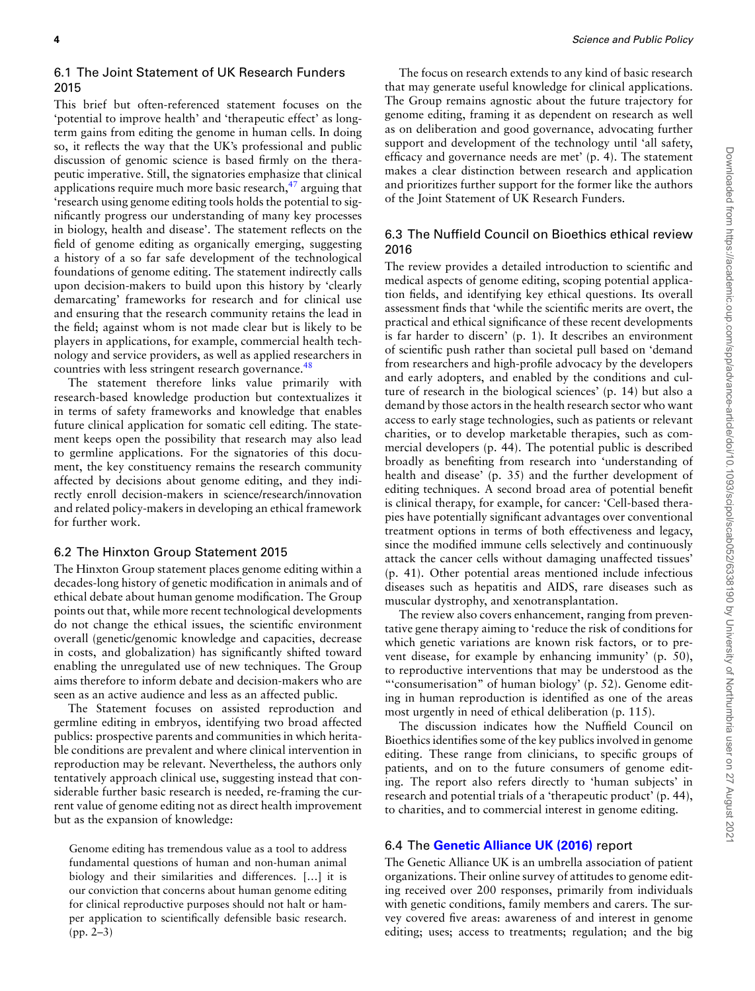#### 6.1 The Joint Statement of UK Research Funders 2015

This brief but often-referenced statement focuses on the 'potential to improve health' and 'therapeutic effect' as longterm gains from editing the genome in human cells. In doing so, it reflects the way that the UK's professional and public discussion of genomic science is based firmly on the therapeutic imperative. Still, the signatories emphasize that clinical applications require much more basic research, $47$  arguing that 'research using genome editing tools holds the potential to significantly progress our understanding of many key processes in biology, health and disease'. The statement reflects on the field of genome editing as organically emerging, suggesting a history of a so far safe development of the technological foundations of genome editing. The statement indirectly calls upon decision-makers to build upon this history by 'clearly demarcating' frameworks for research and for clinical use and ensuring that the research community retains the lead in the field; against whom is not made clear but is likely to be players in applications, for example, commercial health technology and service providers, as well as applied researchers in countries with less stringent research governance.<sup>48</sup>

The statement therefore links value primarily with research-based knowledge production but contextualizes it in terms of safety frameworks and knowledge that enables future clinical application for somatic cell editing. The statement keeps open the possibility that research may also lead to germline applications. For the signatories of this document, the key constituency remains the research community affected by decisions about genome editing, and they indirectly enroll decision-makers in science/research/innovation and related policy-makers in developing an ethical framework for further work.

#### 6.2 The Hinxton Group Statement 2015

The Hinxton Group statement places genome editing within a decades-long history of genetic modification in animals and of ethical debate about human genome modification. The Group points out that, while more recent technological developments do not change the ethical issues, the scientific environment overall (genetic/genomic knowledge and capacities, decrease in costs, and globalization) has significantly shifted toward enabling the unregulated use of new techniques. The Group aims therefore to inform debate and decision-makers who are seen as an active audience and less as an affected public.

The Statement focuses on assisted reproduction and germline editing in embryos, identifying two broad affected publics: prospective parents and communities in which heritable conditions are prevalent and where clinical intervention in reproduction may be relevant. Nevertheless, the authors only tentatively approach clinical use, suggesting instead that considerable further basic research is needed, re-framing the current value of genome editing not as direct health improvement but as the expansion of knowledge:

Genome editing has tremendous value as a tool to address fundamental questions of human and non-human animal biology and their similarities and differences. […] it is our conviction that concerns about human genome editing for clinical reproductive purposes should not halt or hamper application to scientifically defensible basic research. (pp. 2–3)

The focus on research extends to any kind of basic research that may generate useful knowledge for clinical applications. The Group remains agnostic about the future trajectory for genome editing, framing it as dependent on research as well as on deliberation and good governance, advocating further support and development of the technology until 'all safety, efficacy and governance needs are met' (p. 4). The statement makes a clear distinction between research and application and prioritizes further support for the former like the authors of the Joint Statement of UK Research Funders.

## 6.3 The Nuffield Council on Bioethics ethical review 2016

The review provides a detailed introduction to scientific and medical aspects of genome editing, scoping potential application fields, and identifying key ethical questions. Its overall assessment finds that 'while the scientific merits are overt, the practical and ethical significance of these recent developments is far harder to discern' (p. 1). It describes an environment of scientific push rather than societal pull based on 'demand from researchers and high-profile advocacy by the developers and early adopters, and enabled by the conditions and culture of research in the biological sciences' (p. 14) but also a demand by those actors in the health research sector who want access to early stage technologies, such as patients or relevant charities, or to develop marketable therapies, such as commercial developers (p. 44). The potential public is described broadly as benefiting from research into 'understanding of health and disease' (p. 35) and the further development of editing techniques. A second broad area of potential benefit is clinical therapy, for example, for cancer: 'Cell-based therapies have potentially significant advantages over conventional treatment options in terms of both effectiveness and legacy, since the modified immune cells selectively and continuously attack the cancer cells without damaging unaffected tissues' (p. 41). Other potential areas mentioned include infectious diseases such as hepatitis and AIDS, rare diseases such as muscular dystrophy, and xenotransplantation.

The review also covers enhancement, ranging from preventative gene therapy aiming to 'reduce the risk of conditions for which genetic variations are known risk factors, or to prevent disease, for example by enhancing immunity' (p. 50), to reproductive interventions that may be understood as the "'consumerisation" of human biology' (p. 52). Genome editing in human reproduction is identified as one of the areas most urgently in need of ethical deliberation (p. 115).

The discussion indicates how the Nuffield Council on Bioethics identifies some of the key publics involved in genome editing. These range from clinicians, to specific groups of patients, and on to the future consumers of genome editing. The report also refers directly to 'human subjects' in research and potential trials of a 'therapeutic product' (p. 44), to charities, and to commercial interest in genome editing.

#### 6.4 The **[Genetic Alliance UK \(2016\)](#page-9-0)** report

The Genetic Alliance UK is an umbrella association of patient organizations. Their online survey of attitudes to genome editing received over 200 responses, primarily from individuals with genetic conditions, family members and carers. The survey covered five areas: awareness of and interest in genome editing; uses; access to treatments; regulation; and the big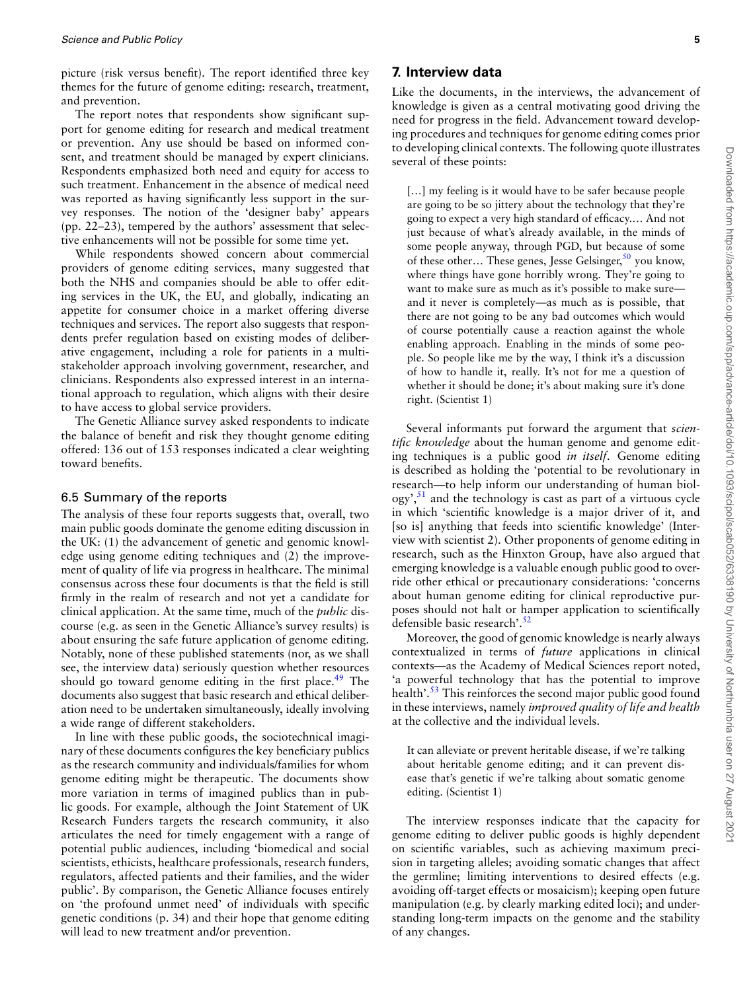picture (risk versus benefit). The report identified three key themes for the future of genome editing: research, treatment, and prevention.

The report notes that respondents show significant support for genome editing for research and medical treatment or prevention. Any use should be based on informed consent, and treatment should be managed by expert clinicians. Respondents emphasized both need and equity for access to such treatment. Enhancement in the absence of medical need was reported as having significantly less support in the survey responses. The notion of the 'designer baby' appears (pp. 22–23), tempered by the authors' assessment that selective enhancements will not be possible for some time yet.

While respondents showed concern about commercial providers of genome editing services, many suggested that both the NHS and companies should be able to offer editing services in the UK, the EU, and globally, indicating an appetite for consumer choice in a market offering diverse techniques and services. The report also suggests that respondents prefer regulation based on existing modes of deliberative engagement, including a role for patients in a multistakeholder approach involving government, researcher, and clinicians. Respondents also expressed interest in an international approach to regulation, which aligns with their desire to have access to global service providers.

The Genetic Alliance survey asked respondents to indicate the balance of benefit and risk they thought genome editing offered: 136 out of 153 responses indicated a clear weighting toward benefits.

#### 6.5 Summary of the reports

The analysis of these four reports suggests that, overall, two main public goods dominate the genome editing discussion in the UK: (1) the advancement of genetic and genomic knowledge using genome editing techniques and (2) the improvement of quality of life via progress in healthcare. The minimal consensus across these four documents is that the field is still firmly in the realm of research and not yet a candidate for clinical application. At the same time, much of the *public* discourse (e.g. as seen in the Genetic Alliance's survey results) is about ensuring the safe future application of genome editing. Notably, none of these published statements (nor, as we shall see, the interview data) seriously question whether resources should go toward genome editing in the first place. $49$  The documents also suggest that basic research and ethical deliberation need to be undertaken simultaneously, ideally involving a wide range of different stakeholders.

In line with these public goods, the sociotechnical imaginary of these documents configures the key beneficiary publics as the research community and individuals/families for whom genome editing might be therapeutic. The documents show more variation in terms of imagined publics than in public goods. For example, although the Joint Statement of UK Research Funders targets the research community, it also articulates the need for timely engagement with a range of potential public audiences, including 'biomedical and social scientists, ethicists, healthcare professionals, research funders, regulators, affected patients and their families, and the wider public'. By comparison, the Genetic Alliance focuses entirely on 'the profound unmet need' of individuals with specific genetic conditions (p. 34) and their hope that genome editing will lead to new treatment and/or prevention.

# **7. Interview data**

Like the documents, in the interviews, the advancement of knowledge is given as a central motivating good driving the need for progress in the field. Advancement toward developing procedures and techniques for genome editing comes prior to developing clinical contexts. The following quote illustrates several of these points:

[...] my feeling is it would have to be safer because people are going to be so jittery about the technology that they're going to expect a very high standard of efficacy.… And not just because of what's already available, in the minds of some people anyway, through PGD, but because of some of these other... These genes, Jesse Gelsinger,  $50$  you know, where things have gone horribly wrong. They're going to want to make sure as much as it's possible to make sure and it never is completely—as much as is possible, that there are not going to be any bad outcomes which would of course potentially cause a reaction against the whole enabling approach. Enabling in the minds of some people. So people like me by the way, I think it's a discussion of how to handle it, really. It's not for me a question of whether it should be done; it's about making sure it's done right. (Scientist 1)

Several informants put forward the argument that *scientific knowledge* about the human genome and genome editing techniques is a public good *in itself*. Genome editing is described as holding the 'potential to be revolutionary in research—to help inform our understanding of human biol- $\log y$ <sup>51</sup>, and the technology is cast as part of a virtuous cycle in which 'scientific knowledge is a major driver of it, and [so is] anything that feeds into scientific knowledge' (Interview with scientist 2). Other proponents of genome editing in research, such as the Hinxton Group, have also argued that emerging knowledge is a valuable enough public good to override other ethical or precautionary considerations: 'concerns about human genome editing for clinical reproductive purposes should not halt or hamper application to scientifically defensible basic research'.<sup>52</sup>

Moreover, the good of genomic knowledge is nearly always contextualized in terms of *future* applications in clinical contexts—as the Academy of Medical Sciences report noted, 'a powerful technology that has the potential to improve health'.<sup>53</sup> This reinforces the second major public good found in these interviews, namely *improved quality of life and health* at the collective and the individual levels.

It can alleviate or prevent heritable disease, if we're talking about heritable genome editing; and it can prevent disease that's genetic if we're talking about somatic genome editing. (Scientist 1)

The interview responses indicate that the capacity for genome editing to deliver public goods is highly dependent on scientific variables, such as achieving maximum precision in targeting alleles; avoiding somatic changes that affect the germline; limiting interventions to desired effects (e.g. avoiding off-target effects or mosaicism); keeping open future manipulation (e.g. by clearly marking edited loci); and understanding long-term impacts on the genome and the stability of any changes.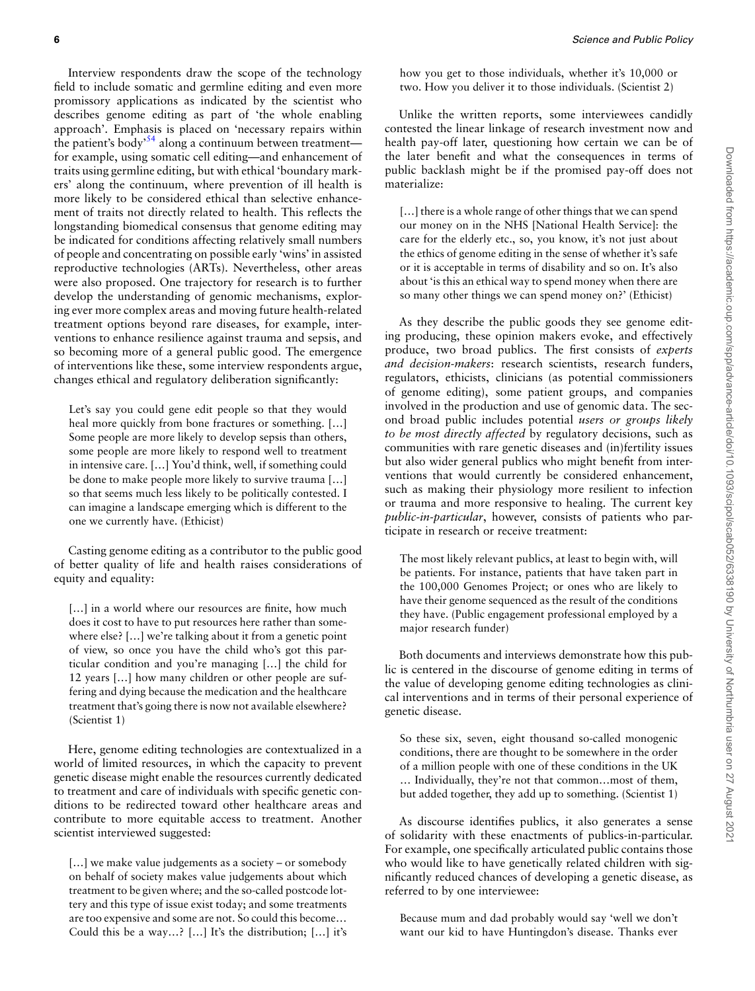Interview respondents draw the scope of the technology field to include somatic and germline editing and even more promissory applications as indicated by the scientist who describes genome editing as part of 'the whole enabling approach'. Emphasis is placed on 'necessary repairs within the patient's body'54 along a continuum between treatment for example, using somatic cell editing—and enhancement of traits using germline editing, but with ethical 'boundary markers' along the continuum, where prevention of ill health is more likely to be considered ethical than selective enhancement of traits not directly related to health. This reflects the longstanding biomedical consensus that genome editing may be indicated for conditions affecting relatively small numbers of people and concentrating on possible early 'wins' in assisted reproductive technologies (ARTs). Nevertheless, other areas were also proposed. One trajectory for research is to further develop the understanding of genomic mechanisms, exploring ever more complex areas and moving future health-related treatment options beyond rare diseases, for example, interventions to enhance resilience against trauma and sepsis, and so becoming more of a general public good. The emergence of interventions like these, some interview respondents argue, changes ethical and regulatory deliberation significantly:

Let's say you could gene edit people so that they would heal more quickly from bone fractures or something. [...] Some people are more likely to develop sepsis than others, some people are more likely to respond well to treatment in intensive care. […] You'd think, well, if something could be done to make people more likely to survive trauma […] so that seems much less likely to be politically contested. I can imagine a landscape emerging which is different to the one we currently have. (Ethicist)

Casting genome editing as a contributor to the public good of better quality of life and health raises considerations of equity and equality:

[...] in a world where our resources are finite, how much does it cost to have to put resources here rather than somewhere else? […] we're talking about it from a genetic point of view, so once you have the child who's got this particular condition and you're managing […] the child for 12 years […] how many children or other people are suffering and dying because the medication and the healthcare treatment that's going there is now not available elsewhere? (Scientist 1)

Here, genome editing technologies are contextualized in a world of limited resources, in which the capacity to prevent genetic disease might enable the resources currently dedicated to treatment and care of individuals with specific genetic conditions to be redirected toward other healthcare areas and contribute to more equitable access to treatment. Another scientist interviewed suggested:

[...] we make value judgements as a society – or somebody on behalf of society makes value judgements about which treatment to be given where; and the so-called postcode lottery and this type of issue exist today; and some treatments are too expensive and some are not. So could this become… Could this be a way…? […] It's the distribution; […] it's

how you get to those individuals, whether it's 10,000 or two. How you deliver it to those individuals. (Scientist 2)

Unlike the written reports, some interviewees candidly contested the linear linkage of research investment now and health pay-off later, questioning how certain we can be of the later benefit and what the consequences in terms of public backlash might be if the promised pay-off does not materialize:

[...] there is a whole range of other things that we can spend our money on in the NHS [National Health Service]: the care for the elderly etc., so, you know, it's not just about the ethics of genome editing in the sense of whether it's safe or it is acceptable in terms of disability and so on. It's also about 'is this an ethical way to spend money when there are so many other things we can spend money on?' (Ethicist)

As they describe the public goods they see genome editing producing, these opinion makers evoke, and effectively produce, two broad publics. The first consists of *experts and decision-makers*: research scientists, research funders, regulators, ethicists, clinicians (as potential commissioners of genome editing), some patient groups, and companies involved in the production and use of genomic data. The second broad public includes potential *users or groups likely to be most directly affected* by regulatory decisions, such as communities with rare genetic diseases and (in)fertility issues but also wider general publics who might benefit from interventions that would currently be considered enhancement, such as making their physiology more resilient to infection or trauma and more responsive to healing. The current key *public-in-particular*, however, consists of patients who participate in research or receive treatment:

The most likely relevant publics, at least to begin with, will be patients. For instance, patients that have taken part in the 100,000 Genomes Project; or ones who are likely to have their genome sequenced as the result of the conditions they have. (Public engagement professional employed by a major research funder)

Both documents and interviews demonstrate how this public is centered in the discourse of genome editing in terms of the value of developing genome editing technologies as clinical interventions and in terms of their personal experience of genetic disease.

So these six, seven, eight thousand so-called monogenic conditions, there are thought to be somewhere in the order of a million people with one of these conditions in the UK … Individually, they're not that common…most of them, but added together, they add up to something. (Scientist 1)

As discourse identifies publics, it also generates a sense of solidarity with these enactments of publics-in-particular. For example, one specifically articulated public contains those who would like to have genetically related children with significantly reduced chances of developing a genetic disease, as referred to by one interviewee:

Because mum and dad probably would say 'well we don't want our kid to have Huntingdon's disease. Thanks ever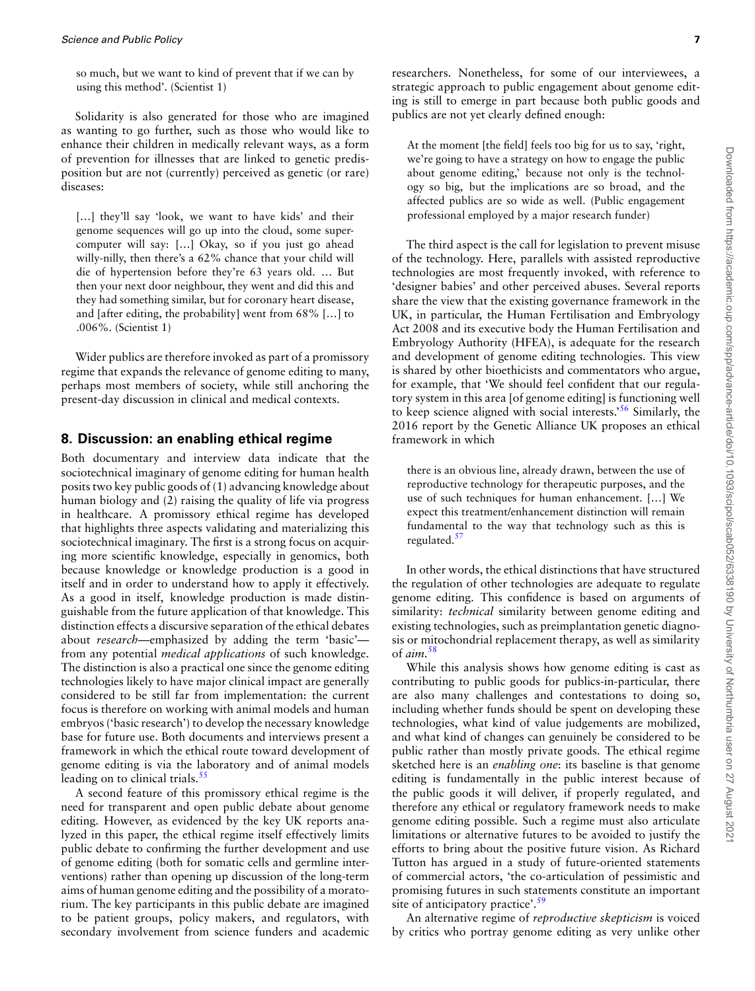so much, but we want to kind of prevent that if we can by using this method'. (Scientist 1)

Solidarity is also generated for those who are imagined as wanting to go further, such as those who would like to enhance their children in medically relevant ways, as a form of prevention for illnesses that are linked to genetic predisposition but are not (currently) perceived as genetic (or rare) diseases:

[...] they'll say 'look, we want to have kids' and their genome sequences will go up into the cloud, some supercomputer will say: […] Okay, so if you just go ahead willy-nilly, then there's a 62% chance that your child will die of hypertension before they're 63 years old. … But then your next door neighbour, they went and did this and they had something similar, but for coronary heart disease, and [after editing, the probability] went from 68% […] to .006%. (Scientist 1)

Wider publics are therefore invoked as part of a promissory regime that expands the relevance of genome editing to many, perhaps most members of society, while still anchoring the present-day discussion in clinical and medical contexts.

#### **8. Discussion: an enabling ethical regime**

Both documentary and interview data indicate that the sociotechnical imaginary of genome editing for human health posits two key public goods of (1) advancing knowledge about human biology and (2) raising the quality of life via progress in healthcare. A promissory ethical regime has developed that highlights three aspects validating and materializing this sociotechnical imaginary. The first is a strong focus on acquiring more scientific knowledge, especially in genomics, both because knowledge or knowledge production is a good in itself and in order to understand how to apply it effectively. As a good in itself, knowledge production is made distinguishable from the future application of that knowledge. This distinction effects a discursive separation of the ethical debates about *research—*emphasized by adding the term 'basic' from any potential *medical applications* of such knowledge. The distinction is also a practical one since the genome editing technologies likely to have major clinical impact are generally considered to be still far from implementation: the current focus is therefore on working with animal models and human embryos ('basic research') to develop the necessary knowledge base for future use. Both documents and interviews present a framework in which the ethical route toward development of genome editing is via the laboratory and of animal models leading on to clinical trials.<sup>55</sup>

A second feature of this promissory ethical regime is the need for transparent and open public debate about genome editing. However, as evidenced by the key UK reports analyzed in this paper, the ethical regime itself effectively limits public debate to confirming the further development and use of genome editing (both for somatic cells and germline interventions) rather than opening up discussion of the long-term aims of human genome editing and the possibility of a moratorium. The key participants in this public debate are imagined to be patient groups, policy makers, and regulators, with secondary involvement from science funders and academic

researchers. Nonetheless, for some of our interviewees, a strategic approach to public engagement about genome editing is still to emerge in part because both public goods and publics are not yet clearly defined enough:

At the moment [the field] feels too big for us to say, 'right, we're going to have a strategy on how to engage the public about genome editing,' because not only is the technology so big, but the implications are so broad, and the affected publics are so wide as well. (Public engagement professional employed by a major research funder)

The third aspect is the call for legislation to prevent misuse of the technology. Here, parallels with assisted reproductive technologies are most frequently invoked, with reference to 'designer babies' and other perceived abuses. Several reports share the view that the existing governance framework in the UK, in particular, the Human Fertilisation and Embryology Act 2008 and its executive body the Human Fertilisation and Embryology Authority (HFEA), is adequate for the research and development of genome editing technologies. This view is shared by other bioethicists and commentators who argue, for example, that 'We should feel confident that our regulatory system in this area [of genome editing] is functioning well to keep science aligned with social interests.'56 Similarly, the 2016 report by the Genetic Alliance UK proposes an ethical framework in which

there is an obvious line, already drawn, between the use of reproductive technology for therapeutic purposes, and the use of such techniques for human enhancement. […] We expect this treatment/enhancement distinction will remain fundamental to the way that technology such as this is regulated. $57$ 

In other words, the ethical distinctions that have structured the regulation of other technologies are adequate to regulate genome editing. This confidence is based on arguments of similarity: *technical* similarity between genome editing and existing technologies, such as preimplantation genetic diagnosis or mitochondrial replacement therapy, as well as similarity of *aim.*58

While this analysis shows how genome editing is cast as contributing to public goods for publics-in-particular, there are also many challenges and contestations to doing so, including whether funds should be spent on developing these technologies, what kind of value judgements are mobilized, and what kind of changes can genuinely be considered to be public rather than mostly private goods. The ethical regime sketched here is an *enabling one*: its baseline is that genome editing is fundamentally in the public interest because of the public goods it will deliver, if properly regulated, and therefore any ethical or regulatory framework needs to make genome editing possible. Such a regime must also articulate limitations or alternative futures to be avoided to justify the efforts to bring about the positive future vision. As Richard Tutton has argued in a study of future-oriented statements of commercial actors, 'the co-articulation of pessimistic and promising futures in such statements constitute an important site of anticipatory practice'.<sup>59</sup>

An alternative regime of *reproductive skepticism* is voiced by critics who portray genome editing as very unlike other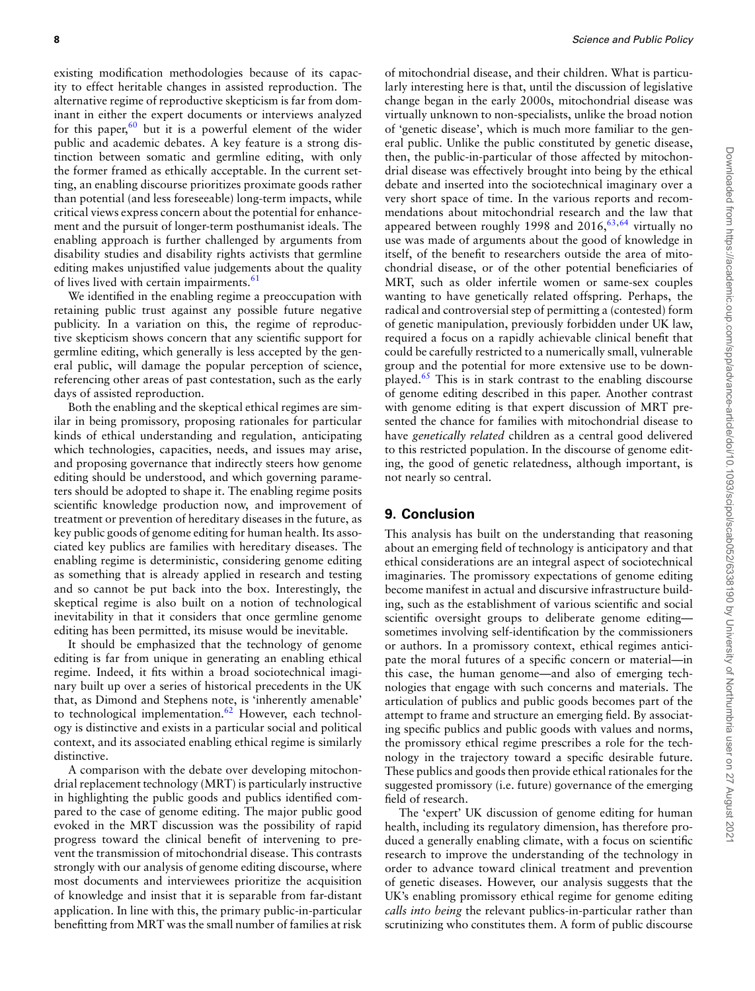existing modification methodologies because of its capacity to effect heritable changes in assisted reproduction. The alternative regime of reproductive skepticism is far from dominant in either the expert documents or interviews analyzed for this paper,  $60$  but it is a powerful element of the wider public and academic debates. A key feature is a strong distinction between somatic and germline editing, with only the former framed as ethically acceptable. In the current setting, an enabling discourse prioritizes proximate goods rather than potential (and less foreseeable) long-term impacts, while critical views express concern about the potential for enhancement and the pursuit of longer-term posthumanist ideals. The enabling approach is further challenged by arguments from disability studies and disability rights activists that germline editing makes unjustified value judgements about the quality of lives lived with certain impairments.<sup>61</sup>

We identified in the enabling regime a preoccupation with retaining public trust against any possible future negative publicity. In a variation on this, the regime of reproductive skepticism shows concern that any scientific support for germline editing, which generally is less accepted by the general public, will damage the popular perception of science, referencing other areas of past contestation, such as the early days of assisted reproduction.

Both the enabling and the skeptical ethical regimes are similar in being promissory, proposing rationales for particular kinds of ethical understanding and regulation, anticipating which technologies, capacities, needs, and issues may arise, and proposing governance that indirectly steers how genome editing should be understood, and which governing parameters should be adopted to shape it. The enabling regime posits scientific knowledge production now, and improvement of treatment or prevention of hereditary diseases in the future, as key public goods of genome editing for human health. Its associated key publics are families with hereditary diseases. The enabling regime is deterministic, considering genome editing as something that is already applied in research and testing and so cannot be put back into the box. Interestingly, the skeptical regime is also built on a notion of technological inevitability in that it considers that once germline genome editing has been permitted, its misuse would be inevitable.

It should be emphasized that the technology of genome editing is far from unique in generating an enabling ethical regime. Indeed, it fits within a broad sociotechnical imaginary built up over a series of historical precedents in the UK that, as Dimond and Stephens note, is 'inherently amenable' to technological implementation.<sup>62</sup> However, each technology is distinctive and exists in a particular social and political context, and its associated enabling ethical regime is similarly distinctive.

A comparison with the debate over developing mitochondrial replacement technology (MRT) is particularly instructive in highlighting the public goods and publics identified compared to the case of genome editing. The major public good evoked in the MRT discussion was the possibility of rapid progress toward the clinical benefit of intervening to prevent the transmission of mitochondrial disease. This contrasts strongly with our analysis of genome editing discourse, where most documents and interviewees prioritize the acquisition of knowledge and insist that it is separable from far-distant application. In line with this, the primary public-in-particular benefitting from MRT was the small number of families at risk

of mitochondrial disease, and their children. What is particularly interesting here is that, until the discussion of legislative change began in the early 2000s, mitochondrial disease was virtually unknown to non-specialists, unlike the broad notion of 'genetic disease', which is much more familiar to the general public. Unlike the public constituted by genetic disease, then, the public-in-particular of those affected by mitochondrial disease was effectively brought into being by the ethical debate and inserted into the sociotechnical imaginary over a very short space of time. In the various reports and recommendations about mitochondrial research and the law that appeared between roughly 1998 and  $2016, ^{63,64}$  virtually no use was made of arguments about the good of knowledge in itself, of the benefit to researchers outside the area of mitochondrial disease, or of the other potential beneficiaries of MRT, such as older infertile women or same-sex couples wanting to have genetically related offspring. Perhaps, the radical and controversial step of permitting a (contested) form of genetic manipulation, previously forbidden under UK law, required a focus on a rapidly achievable clinical benefit that could be carefully restricted to a numerically small, vulnerable group and the potential for more extensive use to be downplayed.65 This is in stark contrast to the enabling discourse of genome editing described in this paper. Another contrast with genome editing is that expert discussion of MRT presented the chance for families with mitochondrial disease to have *genetically related* children as a central good delivered to this restricted population. In the discourse of genome editing, the good of genetic relatedness, although important, is not nearly so central.

## **9. Conclusion**

This analysis has built on the understanding that reasoning about an emerging field of technology is anticipatory and that ethical considerations are an integral aspect of sociotechnical imaginaries. The promissory expectations of genome editing become manifest in actual and discursive infrastructure building, such as the establishment of various scientific and social scientific oversight groups to deliberate genome editing sometimes involving self-identification by the commissioners or authors. In a promissory context, ethical regimes anticipate the moral futures of a specific concern or material—in this case, the human genome—and also of emerging technologies that engage with such concerns and materials. The articulation of publics and public goods becomes part of the attempt to frame and structure an emerging field. By associating specific publics and public goods with values and norms, the promissory ethical regime prescribes a role for the technology in the trajectory toward a specific desirable future. These publics and goods then provide ethical rationales for the suggested promissory (i.e. future) governance of the emerging field of research.

The 'expert' UK discussion of genome editing for human health, including its regulatory dimension, has therefore produced a generally enabling climate, with a focus on scientific research to improve the understanding of the technology in order to advance toward clinical treatment and prevention of genetic diseases. However, our analysis suggests that the UK's enabling promissory ethical regime for genome editing *calls into being* the relevant publics-in-particular rather than scrutinizing who constitutes them. A form of public discourse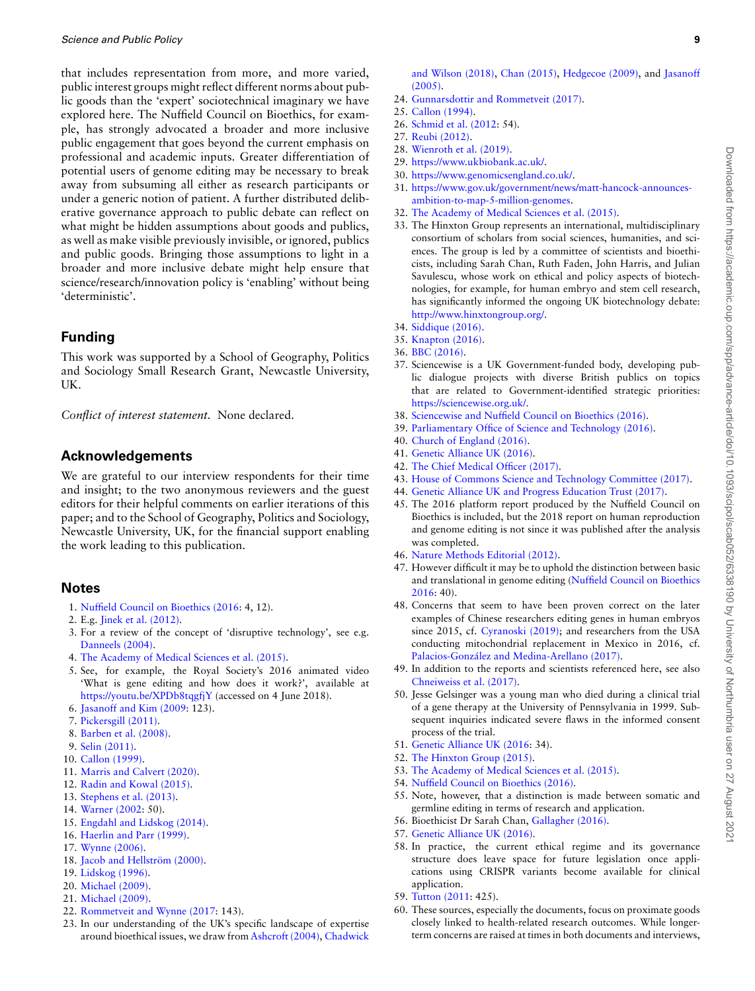that includes representation from more, and more varied, public interest groups might reflect different norms about public goods than the 'expert' sociotechnical imaginary we have explored here. The Nuffield Council on Bioethics, for example, has strongly advocated a broader and more inclusive public engagement that goes beyond the current emphasis on professional and academic inputs. Greater differentiation of potential users of genome editing may be necessary to break away from subsuming all either as research participants or under a generic notion of patient. A further distributed deliberative governance approach to public debate can reflect on what might be hidden assumptions about goods and publics, as well as make visible previously invisible, or ignored, publics and public goods. Bringing those assumptions to light in a broader and more inclusive debate might help ensure that science/research/innovation policy is 'enabling' without being 'deterministic'.

# **Funding**

This work was supported by a School of Geography, Politics and Sociology Small Research Grant, Newcastle University, UK.

*Conflict of interest statement.* None declared.

# **Acknowledgements**

We are grateful to our interview respondents for their time and insight; to the two anonymous reviewers and the guest editors for their helpful comments on earlier iterations of this paper; and to the School of Geography, Politics and Sociology, Newcastle University, UK, for the financial support enabling the work leading to this publication.

## **Notes**

- 1. [Nuffield Council on Bioethics \(2016:](#page-9-1) 4, 12).
- 2. E.g. [Jinek et al. \(2012\)](#page-9-2).
- 3. For a review of the concept of 'disruptive technology', see e.g. [Danneels \(2004\).](#page-9-3)
- 4. [The Academy of Medical Sciences et al. \(2015\)](#page-9-4).
- 5. See, for example, the Royal Society's 2016 animated video 'What is gene editing and how does it work?', available at <https://youtu.be/XPDb8tqgfjY> (accessed on 4 June 2018).
- 6. [Jasanoff and Kim \(2009:](#page-9-5) 123).
- 7. [Pickersgill \(2011\)](#page-10-0).
- 8. [Barben et al. \(2008\).](#page-9-6)
- 9. [Selin \(2011\)](#page-10-1).
- 10. [Callon \(1999\)](#page-9-7).
- 11. [Marris and Calvert \(2020\)](#page-9-8).
- 12. [Radin and Kowal \(2015\).](#page-10-2)
- 13. [Stephens et al. \(2013\)](#page-10-3).
- 14. [Warner \(2002:](#page-10-4) 50).
- 15. [Engdahl and Lidskog \(2014\)](#page-9-9).
- 16. [Haerlin and Parr \(1999\)](#page-9-10).
- 17. [Wynne \(2006\)](#page-10-5).
- 18. Jacob and Hellström (2000).
- 19. [Lidskog \(1996\).](#page-9-12)
- 20. [Michael \(2009\).](#page-9-13)
- 21. [Michael \(2009\).](#page-9-13)
- 22. [Rommetveit and Wynne \(2017:](#page-10-6) 143).
- 23. In our understanding of the UK's specific landscape of expertise around bioethical issues, we draw from [Ashcroft \(2004\)](#page-9-14), [Chadwick](#page-9-15)
- 24. [Gunnarsdottir and Rommetveit \(2017\).](#page-9-19)
- 25. [Callon \(1994\)](#page-9-20).
- 26. [Schmid et al. \(2012:](#page-10-7) 54).
- 27. [Reubi \(2012\)](#page-10-8).
- 28. [Wienroth et al. \(2019\).](#page-10-9)
- 29. <https://www.ukbiobank.ac.uk/>.
- 30. [https://www.genomicsengland.co.uk/.](https://www.genomicsengland.co.uk/) 31. [https://www.gov.uk/government/news/matt-hancock-announces](https://www.gov.uk/government/news/matt-hancock-announces-ambition-to-map-5-million-genomes)[ambition-to-map-5-million-genomes](https://www.gov.uk/government/news/matt-hancock-announces-ambition-to-map-5-million-genomes).
- 32. [The Academy of Medical Sciences et al. \(2015\)](#page-9-4).
- 33. The Hinxton Group represents an international, multidisciplinary consortium of scholars from social sciences, humanities, and sciences. The group is led by a committee of scientists and bioethicists, including Sarah Chan, Ruth Faden, John Harris, and Julian Savulescu, whose work on ethical and policy aspects of biotechnologies, for example, for human embryo and stem cell research, has significantly informed the ongoing UK biotechnology debate: <http://www.hinxtongroup.org/>.
- 34. [Siddique \(2016\).](#page-10-10)
- 35. [Knapton \(2016\)](#page-9-21).
- 36. [BBC \(2016\).](#page-9-22)
- 37. Sciencewise is a UK Government-funded body, developing public dialogue projects with diverse British publics on topics that are related to Government-identified strategic priorities: [https://sciencewise.org.uk/.](https://sciencewise.org.uk/)
- 38. [Sciencewise and Nuffield Council on Bioethics \(2016\).](#page-10-11)
- 39. [Parliamentary Office of Science and Technology \(2016\)](#page-9-23).
- 40. [Church of England \(2016\).](#page-9-24)
- 41. [Genetic Alliance UK \(2016\)](#page-9-0).
- 42. [The Chief Medical Officer \(2017\).](#page-9-25)
- 43. [House of Commons Science and Technology Committee \(2017\)](#page-9-26).
- 44. [Genetic Alliance UK and Progress Education Trust \(2017\)](#page-9-27).
- 45. The 2016 platform report produced by the Nuffield Council on Bioethics is included, but the 2018 report on human reproduction and genome editing is not since it was published after the analysis was completed.
- 46. [Nature Methods Editorial \(2012\).](#page-9-28)
- 47. However difficult it may be to uphold the distinction between basic and translational in genome editing([Nuffield Council on Bioethics](#page-9-1) [2016](#page-9-1): 40).
- 48. Concerns that seem to have been proven correct on the later examples of Chinese researchers editing genes in human embryos since 2015, cf. [Cyranoski \(2019\)](#page-9-29); and researchers from the USA conducting mitochondrial replacement in Mexico in 2016, cf. Palacios-González and Medina-Arellano (2017).
- 49. In addition to the reports and scientists referenced here, see also [Chneiweiss et al. \(2017\).](#page-9-31)
- 50. Jesse Gelsinger was a young man who died during a clinical trial of a gene therapy at the University of Pennsylvania in 1999. Subsequent inquiries indicated severe flaws in the informed consent process of the trial.
- 51. [Genetic Alliance UK \(2016:](#page-9-0) 34).
- 52. [The Hinxton Group \(2015\).](#page-9-32)
- 53. [The Academy of Medical Sciences et al. \(2015\)](#page-9-4).
- 54. [Nuffield Council on Bioethics \(2016\)](#page-9-1).
- 55. Note, however, that a distinction is made between somatic and germline editing in terms of research and application.
- 56. Bioethicist Dr Sarah Chan, [Gallagher \(2016\).](#page-9-22) 57. [Genetic Alliance UK \(2016\)](#page-9-0).
- 58. In practice, the current ethical regime and its governance structure does leave space for future legislation once applications using CRISPR variants become available for clinical application.
- 59. [Tutton \(2011:](#page-10-12) 425).
- 60. These sources, especially the documents, focus on proximate goods closely linked to health-related research outcomes. While longerterm concerns are raised at times in both documents and interviews,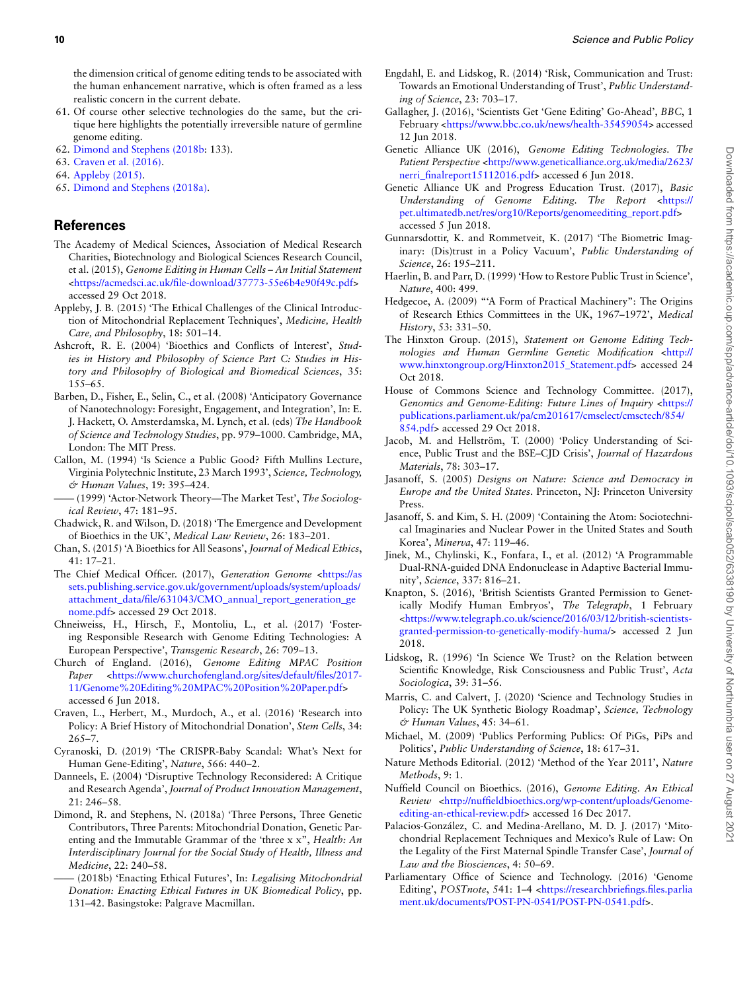the dimension critical of genome editing tends to be associated with the human enhancement narrative, which is often framed as a less realistic concern in the current debate.

- 61. Of course other selective technologies do the same, but the critique here highlights the potentially irreversible nature of germline genome editing.
- 62. [Dimond and Stephens \(2018b](#page-9-33): 133).
- 63. [Craven et al. \(2016\)](#page-9-34).
- 64. [Appleby \(2015\)](#page-9-35).
- 65. [Dimond and Stephens \(2018a\)](#page-9-36).

## **References**

- <span id="page-9-4"></span>The Academy of Medical Sciences, Association of Medical Research Charities, Biotechnology and Biological Sciences Research Council, et al. (2015), *Genome Editing in Human Cells – An Initial Statement* [<https://acmedsci.ac.uk/file-download/37773-55e6b4e90f49c.pdf>](https://acmedsci.ac.uk/file-download/37773-55e6b4e90f49c.pdf) accessed 29 Oct 2018.
- <span id="page-9-35"></span>Appleby, J. B. (2015) 'The Ethical Challenges of the Clinical Introduction of Mitochondrial Replacement Techniques', *Medicine, Health Care, and Philosophy*, 18: 501–14.
- <span id="page-9-14"></span>Ashcroft, R. E. (2004) 'Bioethics and Conflicts of Interest', *Studies in History and Philosophy of Science Part C: Studies in History and Philosophy of Biological and Biomedical Sciences*, 35: 155–65.
- <span id="page-9-6"></span>Barben, D., Fisher, E., Selin, C., et al. (2008) 'Anticipatory Governance of Nanotechnology: Foresight, Engagement, and Integration', In: E. J. Hackett, O. Amsterdamska, M. Lynch, et al. (eds) *The Handbook of Science and Technology Studies*, pp. 979–1000. Cambridge, MA, London: The MIT Press.
- <span id="page-9-20"></span>Callon, M. (1994) 'Is Science a Public Good? Fifth Mullins Lecture, Virginia Polytechnic Institute, 23 March 1993', *Science, Technology, & Human Values*, 19: 395–424.
- <span id="page-9-7"></span>—— (1999) 'Actor-Network Theory—The Market Test', *The Sociological Review*, 47: 181–95.
- <span id="page-9-15"></span>Chadwick, R. and Wilson, D. (2018) 'The Emergence and Development of Bioethics in the UK', *Medical Law Review*, 26: 183–201.
- <span id="page-9-16"></span>Chan, S. (2015) 'A Bioethics for All Seasons', *Journal of Medical Ethics*, 41: 17–21.
- <span id="page-9-25"></span>The Chief Medical Officer. (2017), *Generation Genome* [<https://as](https://assets.publishing.service.gov.uk/government/uploads/system/uploads/attachment_data/file/631043/CMO_annual_report_generation_genome.pdf) [sets.publishing.service.gov.uk/government/uploads/system/uploads/](https://assets.publishing.service.gov.uk/government/uploads/system/uploads/attachment_data/file/631043/CMO_annual_report_generation_genome.pdf) [attachment\\_data/file/631043/CMO\\_annual\\_report\\_generation\\_ge](https://assets.publishing.service.gov.uk/government/uploads/system/uploads/attachment_data/file/631043/CMO_annual_report_generation_genome.pdf) [nome.pdf>](https://assets.publishing.service.gov.uk/government/uploads/system/uploads/attachment_data/file/631043/CMO_annual_report_generation_genome.pdf) accessed 29 Oct 2018.
- <span id="page-9-31"></span>Chneiweiss, H., Hirsch, F., Montoliu, L., et al. (2017) 'Fostering Responsible Research with Genome Editing Technologies: A European Perspective', *Transgenic Research*, 26: 709–13.
- <span id="page-9-24"></span>Church of England. (2016), *Genome Editing MPAC Position* Paper [<https://www.churchofengland.org/sites/default/files/2017-](https://www.churchofengland.org/sites/default/files/2017-11/Genome%20Editing%20MPAC%20Position%20Paper.pdf) [11/Genome%20Editing%20MPAC%20Position%20Paper.pdf](https://www.churchofengland.org/sites/default/files/2017-11/Genome%20Editing%20MPAC%20Position%20Paper.pdf)> accessed 6 Jun 2018.
- <span id="page-9-34"></span>Craven, L., Herbert, M., Murdoch, A., et al. (2016) 'Research into Policy: A Brief History of Mitochondrial Donation', *Stem Cells*, 34: 265–7.
- <span id="page-9-29"></span>Cyranoski, D. (2019) 'The CRISPR-Baby Scandal: What's Next for Human Gene-Editing', *Nature*, 566: 440–2.
- <span id="page-9-3"></span>Danneels, E. (2004) 'Disruptive Technology Reconsidered: A Critique and Research Agenda', *Journal of Product Innovation Management*, 21: 246–58.
- <span id="page-9-36"></span>Dimond, R. and Stephens, N. (2018a) 'Three Persons, Three Genetic Contributors, Three Parents: Mitochondrial Donation, Genetic Parenting and the Immutable Grammar of the 'three x x", *Health: An Interdisciplinary Journal for the Social Study of Health, Illness and Medicine*, 22: 240–58.
- <span id="page-9-33"></span>—— (2018b) 'Enacting Ethical Futures', In: *Legalising Mitochondrial Donation: Enacting Ethical Futures in UK Biomedical Policy*, pp. 131–42. Basingstoke: Palgrave Macmillan.
- <span id="page-9-9"></span>Engdahl, E. and Lidskog, R. (2014) 'Risk, Communication and Trust: Towards an Emotional Understanding of Trust', *Public Understanding of Science*, 23: 703–17.
- <span id="page-9-22"></span>Gallagher, J. (2016), 'Scientists Get 'Gene Editing' Go-Ahead', *BBC*, 1 February [<https://www.bbc.co.uk/news/health-35459054>](https://www.bbc.co.uk/news/health-35459054) accessed 12 Jun 2018.
- <span id="page-9-0"></span>Genetic Alliance UK (2016), *Genome Editing Technologies. The* Patient Perspective [<http://www.geneticalliance.org.uk/media/2623/](http://www.geneticalliance.org.uk/media/2623/nerri_finalreport15112016.pdf) [nerri\\_finalreport15112016.pdf](http://www.geneticalliance.org.uk/media/2623/nerri_finalreport15112016.pdf)> accessed 6 Jun 2018.
- <span id="page-9-27"></span>Genetic Alliance UK and Progress Education Trust. (2017), *Basic Understanding of Genome Editing. The Report* <[https://](https://pet.ultimatedb.net/res/org10/Reports/genomeediting_report.pdf) [pet.ultimatedb.net/res/org10/Reports/genomeediting\\_report.pdf>](https://pet.ultimatedb.net/res/org10/Reports/genomeediting_report.pdf) accessed 5 Jun 2018.
- <span id="page-9-19"></span>Gunnarsdottir, K. and Rommetveit, K. (2017) 'The Biometric Imaginary: (Dis)trust in a Policy Vacuum', *Public Understanding of Science*, 26: 195–211.
- <span id="page-9-10"></span>Haerlin, B. and Parr, D. (1999) 'How to Restore Public Trust in Science', *Nature*, 400: 499.
- <span id="page-9-17"></span>Hedgecoe, A. (2009) "'A Form of Practical Machinery": The Origins of Research Ethics Committees in the UK, 1967–1972', *Medical History*, 53: 331–50.
- <span id="page-9-32"></span>The Hinxton Group. (2015), *Statement on Genome Editing Technologies and Human Germline Genetic Modification* <[http://](http://www.hinxtongroup.org/Hinxton2015_Statement.pdf) [www.hinxtongroup.org/Hinxton2015\\_Statement.pdf>](http://www.hinxtongroup.org/Hinxton2015_Statement.pdf) accessed 24 Oct 2018.
- <span id="page-9-26"></span>House of Commons Science and Technology Committee. (2017), *Genomics and Genome-Editing: Future Lines of Inquiry <[https://](https://publications.parliament.uk/pa/cm201617/cmselect/cmsctech/854/854.pdf)* [publications.parliament.uk/pa/cm201617/cmselect/cmsctech/854/](https://publications.parliament.uk/pa/cm201617/cmselect/cmsctech/854/854.pdf) [854.pdf](https://publications.parliament.uk/pa/cm201617/cmselect/cmsctech/854/854.pdf)> accessed 29 Oct 2018.
- <span id="page-9-11"></span>Jacob, M. and Hellström, T. (2000) 'Policy Understanding of Science, Public Trust and the BSE–CJD Crisis', *Journal of Hazardous Materials*, 78: 303–17.
- <span id="page-9-18"></span>Jasanoff, S. (2005) *Designs on Nature: Science and Democracy in Europe and the United States*. Princeton, NJ: Princeton University Press.
- <span id="page-9-5"></span>Jasanoff, S. and Kim, S. H. (2009) 'Containing the Atom: Sociotechnical Imaginaries and Nuclear Power in the United States and South Korea', *Minerva*, 47: 119–46.
- <span id="page-9-2"></span>Jinek, M., Chylinski, K., Fonfara, I., et al. (2012) 'A Programmable Dual-RNA-guided DNA Endonuclease in Adaptive Bacterial Immunity', *Science*, 337: 816–21.
- <span id="page-9-21"></span>Knapton, S. (2016), 'British Scientists Granted Permission to Genetically Modify Human Embryos', *The Telegraph*, 1 February <[https://www.telegraph.co.uk/science/2016/03/12/british-scientists](https://www.telegraph.co.uk/science/2016/03/12/british-scientists-granted-permission-to-genetically-modify-huma/)[granted-permission-to-genetically-modify-huma/>](https://www.telegraph.co.uk/science/2016/03/12/british-scientists-granted-permission-to-genetically-modify-huma/) accessed 2 Jun 2018.
- <span id="page-9-12"></span>Lidskog, R. (1996) 'In Science We Trust? on the Relation between Scientific Knowledge, Risk Consciousness and Public Trust', *Acta Sociologica*, 39: 31–56.
- <span id="page-9-8"></span>Marris, C. and Calvert, J. (2020) 'Science and Technology Studies in Policy: The UK Synthetic Biology Roadmap', *Science, Technology & Human Values*, 45: 34–61.
- <span id="page-9-13"></span>Michael, M. (2009) 'Publics Performing Publics: Of PiGs, PiPs and Politics', *Public Understanding of Science*, 18: 617–31.
- <span id="page-9-28"></span>Nature Methods Editorial. (2012) 'Method of the Year 2011', *Nature Methods*, 9: 1.
- <span id="page-9-1"></span>Nuffield Council on Bioethics. (2016), *Genome Editing. An Ethical Review* <[http://nuffieldbioethics.org/wp-content/uploads/Genome](http://nuffieldbioethics.org/wp-content/uploads/Genome-editing-an-ethical-review.pdf)[editing-an-ethical-review.pdf](http://nuffieldbioethics.org/wp-content/uploads/Genome-editing-an-ethical-review.pdf)> accessed 16 Dec 2017.
- <span id="page-9-30"></span>Palacios-González, C. and Medina-Arellano, M. D. J. (2017) 'Mitochondrial Replacement Techniques and Mexico's Rule of Law: On the Legality of the First Maternal Spindle Transfer Case', *Journal of Law and the Biosciences*, 4: 50–69.
- <span id="page-9-23"></span>Parliamentary Office of Science and Technology. (2016) 'Genome Editing', *POSTnote*, 541: 1–4 [<https://researchbriefings.files.parlia](https://researchbriefings.files.parliament.uk/documents/POST-PN-0541/POST-PN-0541.pdf) [ment.uk/documents/POST-PN-0541/POST-PN-0541.pdf>](https://researchbriefings.files.parliament.uk/documents/POST-PN-0541/POST-PN-0541.pdf).